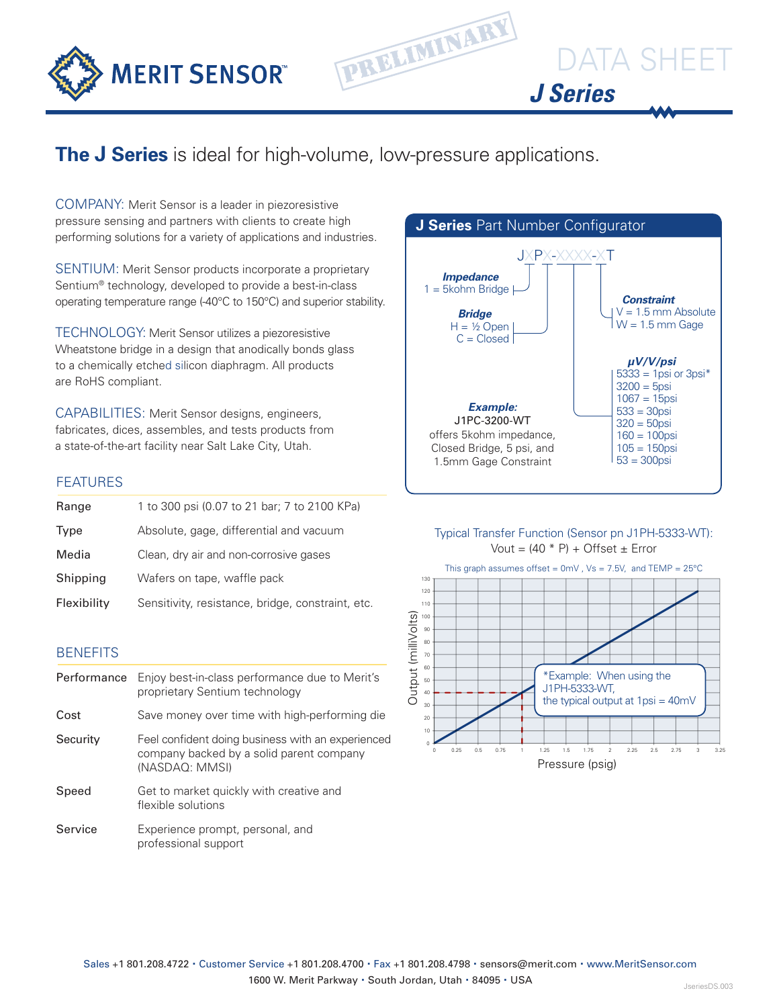

# DATA SHEET *J Series*

### **The J Series** is ideal for high-volume, low-pressure applications.

PRELIMINARY

COMPANY: Merit Sensor is a leader in piezoresistive pressure sensing and partners with clients to create high performing solutions for a variety of applications and industries.

SENTIUM: Merit Sensor products incorporate a proprietary Sentium® technology, developed to provide a best-in-class operating temperature range (-40°C to 150°C) and superior stability.

TECHNOLOGY: Merit Sensor utilizes a piezoresistive Wheatstone bridge in a design that anodically bonds glass to a chemically etched silicon diaphragm. All products are RoHS compliant.

CAPABILITIES: Merit Sensor designs, engineers, fabricates, dices, assembles, and tests products from a state-of-the-art facility near Salt Lake City, Utah.

#### **FEATURES**

| Range       | 1 to 300 psi (0.07 to 21 bar; 7 to 2100 KPa)      |
|-------------|---------------------------------------------------|
| Type        | Absolute, gage, differential and vacuum           |
| Media       | Clean, dry air and non-corrosive gases            |
| Shipping    | Wafers on tape, waffle pack                       |
| Flexibility | Sensitivity, resistance, bridge, constraint, etc. |

#### **BENEFITS**

| Performance | Enjoy best-in-class performance due to Merit's<br>proprietary Sentium technology                                |
|-------------|-----------------------------------------------------------------------------------------------------------------|
| Cost        | Save money over time with high-performing die                                                                   |
| Security    | Feel confident doing business with an experienced<br>company backed by a solid parent company<br>(NASDAQ: MMSI) |
| Speed       | Get to market quickly with creative and<br>flexible solutions                                                   |
| Service     | Experience prompt, personal, and<br>professional support                                                        |



#### Typical Transfer Function (Sensor pn J1PH-5333-WT): Vout =  $(40 * P) +$  Offset  $\pm$  Error



Pressure (psig)